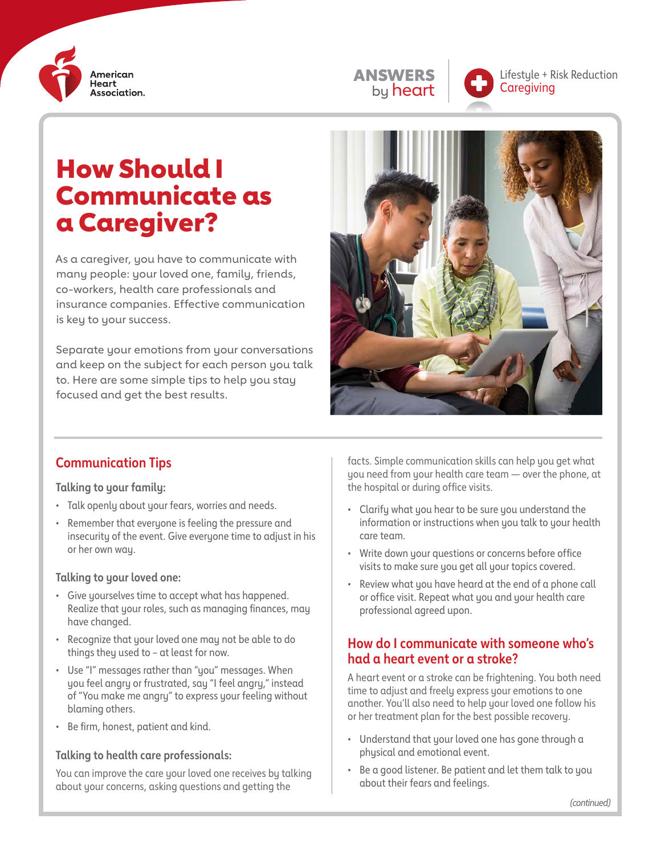





Lifestyle + Risk Reduction **Caregiving** 

# How Should I Communicate as a Caregiver?

As a caregiver, you have to communicate with many people: your loved one, family, friends, co-workers, health care professionals and insurance companies. Effective communication is key to your success.

Separate your emotions from your conversations and keep on the subject for each person you talk to. Here are some simple tips to help you stay focused and get the best results.



### **Communication Tips**

#### **Talking to your family:**

- Talk openly about your fears, worries and needs.
- Remember that everyone is feeling the pressure and insecurity of the event. Give everyone time to adjust in his or her own way.

#### **Talking to your loved one:**

- Give yourselves time to accept what has happened. Realize that your roles, such as managing finances, may have changed.
- Recognize that your loved one may not be able to do things they used to – at least for now.
- Use "I" messages rather than "you" messages. When you feel angry or frustrated, say "I feel angry," instead of "You make me angry" to express your feeling without blaming others.
- Be firm, honest, patient and kind.

#### **Talking to health care professionals:**

You can improve the care your loved one receives by talking about your concerns, asking questions and getting the

facts. Simple communication skills can help you get what you need from your health care team — over the phone, at the hospital or during office visits.

- Clarify what you hear to be sure you understand the information or instructions when you talk to your health care team.
- Write down your questions or concerns before office visits to make sure you get all your topics covered.
- Review what you have heard at the end of a phone call or office visit. Repeat what you and your health care professional agreed upon.

#### **How do I communicate with someone who's had a heart event or a stroke?**

A heart event or a stroke can be frightening. You both need time to adjust and freely express your emotions to one another. You'll also need to help your loved one follow his or her treatment plan for the best possible recovery.

- Understand that your loved one has gone through a physical and emotional event.
- Be a good listener. Be patient and let them talk to you about their fears and feelings.